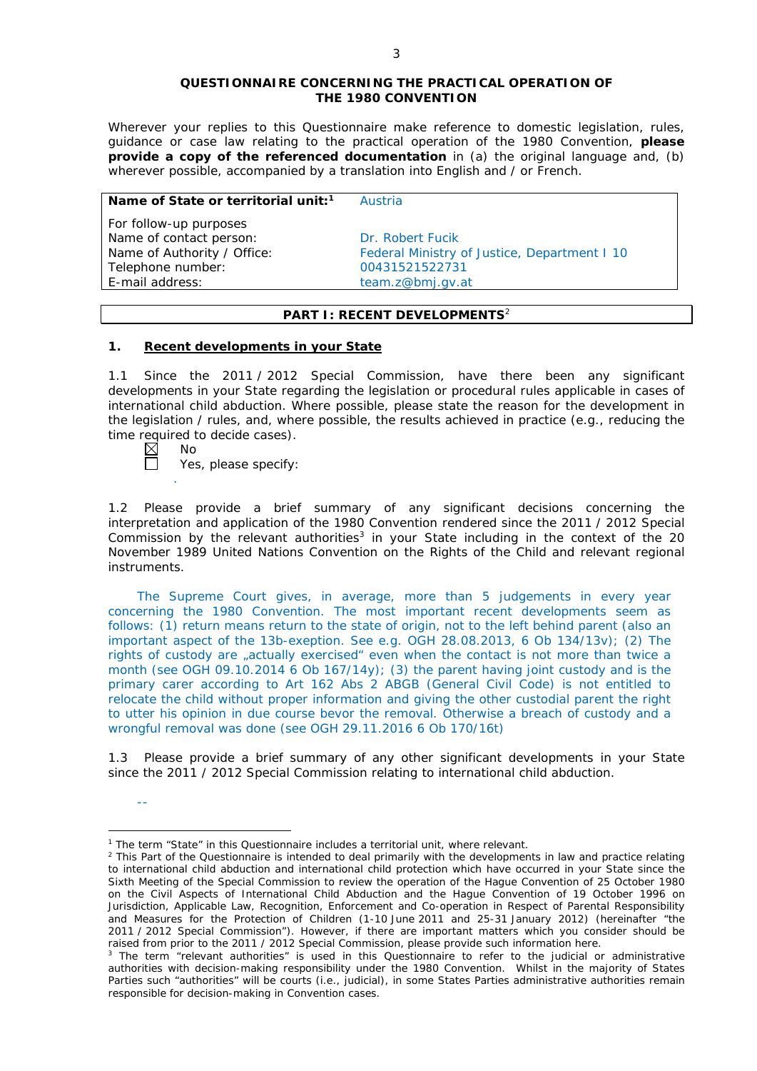#### **QUESTIONNAIRE CONCERNING THE PRACTICAL OPERATION OF THE 1980 CONVENTION**

*Wherever your replies to this Questionnaire make reference to domestic legislation, rules, guidance or case law relating to the practical operation of the 1980 Convention, please provide a copy of the referenced documentation in (a) the original language and, (b) wherever possible, accompanied by a translation into English and / or French.* 

#### **Name of State or territorial unit:<sup>1</sup> Austria**

*For follow-up purposes* Name of contact person: Dr. Robert Fucik Telephone number: 00431521522731 E-mail address: team.z@bmi.gv.at

Name of Authority / Office: Federal Ministry of Justice, Department I 10

## **PART I: RECENT DEVELOPMENTS**<sup>2</sup>

### **1. Recent developments in your State**

1.1 Since the 2011 / 2012 Special Commission, have there been any significant developments in your State regarding the legislation or procedural rules applicable in cases of international child abduction. Where possible, please state the reason for the development in the legislation / rules, and, where possible, the results achieved in practice (*e.g.*, reducing the time required to decide cases).<br> $\boxtimes$  No<br> $\Box$  Yes please specify:

No

--

.

Yes, please specify:

1.2 Please provide a brief summary of any significant decisions concerning the interpretation and application of the 1980 Convention rendered since the 2011 / 2012 Special Commission by the relevant authorities<sup>3</sup> in your State including in the context of the 20 November 1989 United Nations Convention on the Rights of the Child and relevant regional instruments.

The Supreme Court gives, in average, more than 5 judgements in every year concerning the 1980 Convention. The most important recent developments seem as follows: (1) return means return to the state of origin, not to the left behind parent (also an important aspect of the 13b-exeption. See e.g. OGH 28.08.2013, 6 Ob 134/13v); (2) The rights of custody are "actually exercised" even when the contact is not more than twice a month (see OGH 09.10.2014 6 Ob 167/14y); (3) the parent having joint custody and is the primary carer according to Art 162 Abs 2 ABGB (General Civil Code) is not entitled to relocate the child without proper information and giving the other custodial parent the right to utter his opinion in due course bevor the removal. Otherwise a breach of custody and a wrongful removal was done (see OGH 29.11.2016 6 Ob 170/16t)

1.3 Please provide a brief summary of any other significant developments in your State since the 2011 / 2012 Special Commission relating to international child abduction.

<sup>&</sup>lt;sup>1</sup> The term "State" in this Questionnaire includes a territorial unit, where relevant.

 $<sup>2</sup>$  This Part of the Questionnaire is intended to deal primarily with the developments in law and practice relating</sup> to international child abduction and international child protection which have occurred in your State since the Sixth Meeting of the Special Commission to review the operation of the *Hague Convention of 25 October 1980 on the Civil Aspects of International Child Abduction* and the *Hague Convention of 19 October 1996 on Jurisdiction, Applicable Law, Recognition, Enforcement and Co-operation in Respect of Parental Responsibility and Measures for the Protection of Children* (1-10 June 2011 and 25-31 January 2012) (hereinafter "the 2011 / 2012 Special Commission"). However, if there are important matters which you consider should be raised from *prior to* the 2011 / 2012 Special Commission, please provide such information here.

<sup>&</sup>lt;sup>3</sup> The term "relevant authorities" is used in this Questionnaire to refer to the judicial or administrative authorities with decision-making responsibility under the 1980 Convention. Whilst in the majority of States Parties such "authorities" will be courts (*i.e.*, judicial), in some States Parties administrative authorities remain responsible for decision-making in Convention cases.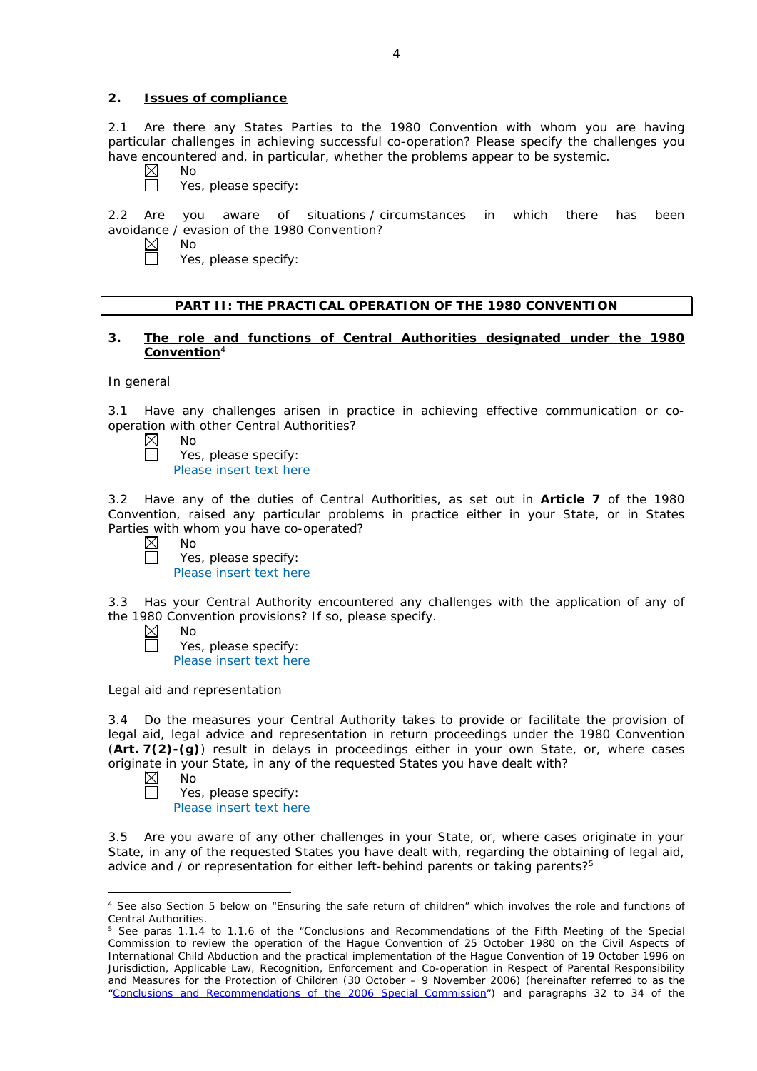## **2. Issues of compliance**

2.1 Are there any States Parties to the 1980 Convention with whom you are having particular challenges in achieving successful co-operation? Please specify the challenges you have encountered and, in particular, whether the problems appear to be systemic.

 $\boxtimes$ No

No

Yes, please specify:

2.2 Are you aware of situations / circumstances in which there has been avoidance / evasion of the 1980 Convention?

 $\boxtimes$ 

 $\Box$ 

Yes, please specify:

# **PART II: THE PRACTICAL OPERATION OF THE 1980 CONVENTION**

### **3. The role and functions of Central Authorities designated under the 1980 Convention**<sup>4</sup>

## *In general*

3.1 Have any challenges arisen in practice in achieving effective communication or cooperation with other Central Authorities?<br>  $\boxtimes$  No

- No
	- Yes, please specify: Please insert text here

3.2 Have any of the duties of Central Authorities, as set out in **Article 7** of the 1980 Convention, raised any particular problems in practice either in your State, or in States

|           | Parties with whom you have co-operated? |
|-----------|-----------------------------------------|
| $\bowtie$ | No.                                     |
| $\Box$    | Yes, please specify:                    |
|           | Please insert text here                 |

3.3 Has your Central Authority encountered any challenges with the application of any of the 1980 Convention provisions? If so, please specify.

| $\boxtimes$ | Nο                      |
|-------------|-------------------------|
| $\Box$      | Yes, please specify:    |
|             | Please insert text here |

*Legal aid and representation*

3.4 Do the measures your Central Authority takes to provide or facilitate the provision of legal aid, legal advice and representation in return proceedings under the 1980 Convention (**Art. 7(2)-(g)**) result in delays in proceedings either in your own State, or, where cases originate in your State, in any of the requested States you have dealt with?

 $\boxtimes$ No  $\Box$ 

<u>.</u>

Yes, please specify: Please insert text here

3.5 Are you aware of any other challenges in your State, or, where cases originate in your State, in any of the requested States you have dealt with, regarding the obtaining of legal aid, advice and / or representation for either left-behind parents or taking parents?<sup>5</sup>

<sup>4</sup> See also Section 5 below on "Ensuring the safe return of children" which involves the role and functions of Central Authorities.

<sup>&</sup>lt;sup>5</sup> See paras 1.1.4 to 1.1.6 of the "Conclusions and Recommendations of the Fifth Meeting of the Special Commission to review the operation of the *Hague Convention of 25 October 1980 on the Civil Aspects of International Child Abduction* and the practical implementation of the *Hague Convention of 19 October 1996 on Jurisdiction, Applicable Law, Recognition, Enforcement and Co-operation in Respect of Parental Responsibility and Measures for the Protection of Children* (30 October – 9 November 2006) (hereinafter referred to as the ["Conclusions and Recommendations of the 2006 Special Commission"](https://assets.hcch.net/upload/concl28sc5_e.pdf)) and paragraphs 32 to 34 of the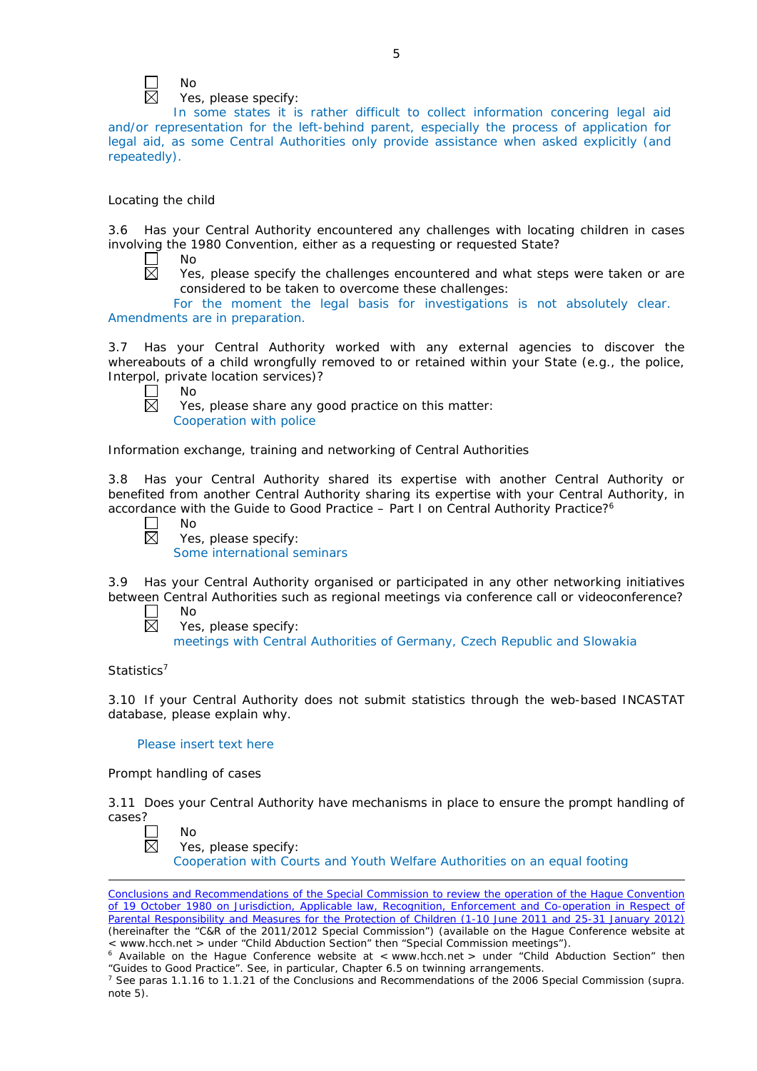

No

Yes, please specify:

In some states it is rather difficult to collect information concering legal aid and/or representation for the left-behind parent, especially the process of application for legal aid, as some Central Authorities only provide assistance when asked explicitly (and repeatedly).

## *Locating the child*

3.6 Has your Central Authority encountered any challenges with locating children in cases involving the 1980 Convention, either as a requesting or requested State?

 $\Box$  $\overline{\boxtimes}$  No

Yes, please specify the challenges encountered and what steps were taken or are considered to be taken to overcome these challenges:

For the moment the legal basis for investigations is not absolutely clear. Amendments are in preparation.

3.7 Has your Central Authority worked with any external agencies to discover the whereabouts of a child wrongfully removed to or retained within your State (*e.g.*, the police, Interpol, private location services)?

No 反

Yes, please share any good practice on this matter: Cooperation with police

## *Information exchange, training and networking of Central Authorities*

3.8 Has your Central Authority shared its expertise with another Central Authority or benefited from another Central Authority sharing its expertise with your Central Authority, in accordance with the Guide to Good Practice – Part I on Central Authority Practice?6

| חמ |
|----|
| í  |

Yes, please specify: Some international seminars

3.9 Has your Central Authority organised or participated in any other networking initiatives between Central Authorities such as regional meetings via conference call or videoconference?

 $\Box$ No  $\boxtimes$ Yes, please specify: meetings with Central Authorities of Germany, Czech Republic and Slowakia

## *Statistics*<sup>7</sup>

<u>.</u>

3.10 If your Central Authority does not submit statistics through the web-based INCASTAT database, please explain why.

### Please insert text here

## *Prompt handling of cases*

3.11 Does your Central Authority have mechanisms in place to ensure the prompt handling of cases?

| חוו |
|-----|
| ٠   |

| . |                      |  |
|---|----------------------|--|
|   | Yes, please specify: |  |

Cooperation with Courts and Youth Welfare Authorities on an equal footing

[Conclusions and Recommendations of the Special Commission](https://assets.hcch.net/upload/wop/concl28sc6_e.pdf) to review the operation of the Hague Convention of *[19 October 1980 on Jurisdiction, Applicable law, Recognition, Enforcement and Co-operation in Respect of](https://assets.hcch.net/upload/wop/concl28sc6_e.pdf)  [Parental Responsibility and Measures for the Protection of Children](https://assets.hcch.net/upload/wop/concl28sc6_e.pdf)* (1-10 June 2011 and 25-31 January 2012) (hereinafter the "C&R of the 2011/2012 Special Commission") (available on the Hague Conference website at < www.hcch.net > under "Child Abduction Section" then "Special Commission meetings").

Maximission meeting is a commission of the United Conference website at < www.hcch.net > under "Child Abduction Section" then "Guides to Good Practice". See, in particular, Chapter 6.5 on twinning arrangements.

<sup>7</sup> See paras 1.1.16 to 1.1.21 of the Conclusions and Recommendations of the 2006 Special Commission (*supra.*  note  $5$ ).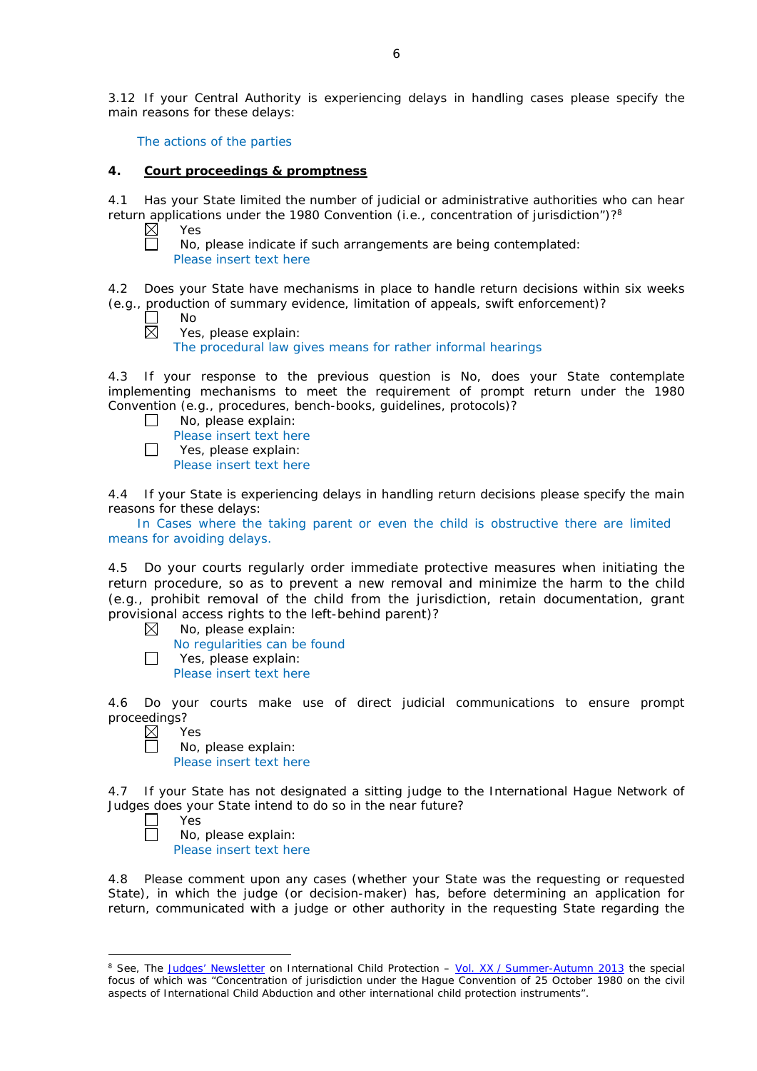3.12 If your Central Authority is experiencing delays in handling cases please specify the main reasons for these delays:

The actions of the parties

## **4. Court proceedings & promptness**

4.1 Has your State limited the number of judicial or administrative authorities who can hear return applications under the 1980 Convention (*i.e.*, concentration of jurisdiction")?<sup>8</sup><br>  $\boxtimes$  Yes<br>
No, please indicate if such arrangements are being contemplated:

Yes

No, please indicate if such arrangements are being contemplated: Please insert text here

4.2 Does your State have mechanisms in place to handle return decisions within six weeks (*e.g.*, production of summary evidence, limitation of appeals, swift enforcement)?

 $\Box$ No

反

Yes, please explain: The procedural law gives means for rather informal hearings

4.3 If your response to the previous question is No, does your State contemplate implementing mechanisms to meet the requirement of prompt return under the 1980 Convention (*e.g.*, procedures, bench-books, guidelines, protocols)?

- $\Box$ No, please explain:
	- Please insert text here
- П Yes, please explain:

Please insert text here

4.4 If your State is experiencing delays in handling return decisions please specify the main reasons for these delays:

In Cases where the taking parent or even the child is obstructive there are limited means for avoiding delays.

4.5 Do your courts regularly order immediate protective measures when initiating the return procedure, so as to prevent a new removal and minimize the harm to the child (*e.g.*, prohibit removal of the child from the jurisdiction, retain documentation, grant provisional access rights to the left-behind parent)?

 $\boxtimes$ No, please explain:

No regularities can be found

 $\Box$ Yes, please explain: Please insert text here

4.6 Do your courts make use of direct judicial communications to ensure prompt proceedings?

⊠ Yes

No, please explain: Please insert text here

4.7 If your State has not designated a sitting judge to the International Hague Network of Judges does your State intend to do so in the near future?

Yes

-

No, please explain:

Please insert text here

4.8 Please comment upon any cases (whether your State was the requesting or requested State), in which the judge (or decision-maker) has, before determining an application for return, communicated with a judge or other authority in the requesting State regarding the

<sup>8</sup> See, *The [Judges' Newsletter](https://www.hcch.net/en/instruments/conventions/publications2/judges-newsletter)* on International Child Protection – Vol. XX / [Summer-Autumn 2013](https://assets.hcch.net/upload/newsletter/nl2013tome20en.pdf) the special focus of which was "Concentration of jurisdiction under the *Hague Convention of 25 October 1980 on the civil aspects of International Child Abduction* and other international child protection instruments".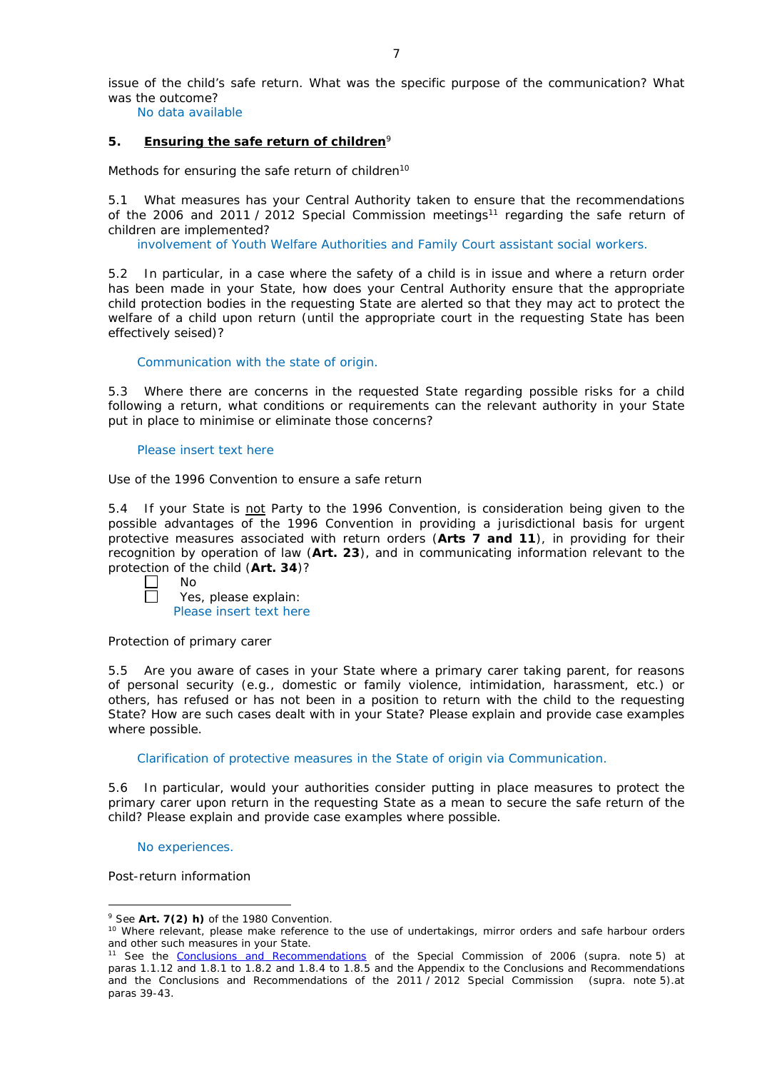issue of the child's safe return. What was the specific purpose of the communication? What was the outcome?

No data available

## **5. Ensuring the safe return of children**<sup>9</sup>

*Methods for ensuring the safe return of children*<sup>10</sup>

5.1 What measures has your Central Authority taken to ensure that the recommendations of the 2006 and 2011 / 2012 Special Commission meetings<sup>11</sup> regarding the safe return of children are implemented?

involvement of Youth Welfare Authorities and Family Court assistant social workers.

5.2 In particular, in a case where the safety of a child is in issue and where a return order has been made in your State, how does your Central Authority ensure that the appropriate child protection bodies in the *requesting* State are alerted so that they may act to protect the welfare of a child upon return (until the appropriate court in the requesting State has been effectively seised)?

## Communication with the state of origin.

5.3 Where there are concerns in the requested State regarding possible risks for a child following a return, what conditions or requirements can the relevant authority in your State put in place to minimise or eliminate those concerns?

#### Please insert text here

*Use of the 1996 Convention to ensure a safe return*

5.4 If your State is not Party to the 1996 Convention, is consideration being given to the possible advantages of the 1996 Convention in providing a jurisdictional basis for urgent protective measures associated with return orders (**Arts 7 and 11**), in providing for their recognition by operation of law (**Art. 23**), and in communicating information relevant to the protection of the child (**Art. 34**)?

П No

Yes, please explain: Please insert text here

## *Protection of primary carer*

5.5 Are you aware of cases in your State where a primary carer taking parent, for reasons of personal security (*e.g.*, domestic or family violence, intimidation, harassment, etc.) or others, has refused or has not been in a position to return with the child to the requesting State? How are such cases dealt with in your State? Please explain and provide case examples where possible.

Clarification of protective measures in the State of origin via Communication.

5.6 In particular, would your authorities consider putting in place measures to protect the primary carer upon return in the requesting State as a mean to secure the safe return of the child? Please explain and provide case examples where possible.

No experiences.

*Post-return information*

<sup>&</sup>lt;u>.</u> <sup>9</sup> See **Art. 7(2)** *h)* of the 1980 Convention.

<sup>10</sup> Where relevant, please make reference to the use of undertakings, mirror orders and safe harbour orders and other such measures in your State.

<sup>11</sup> See the [Conclusions and Recommendations](https://assets.hcch.net/upload/concl28sc5_e.pdf) of the Special Commission of 2006 (*supra.* note 5) at paras 1.1.12 and 1.8.1 to 1.8.2 and 1.8.4 to 1.8.5 and the Appendix to the Conclusions and Recommendations and the [Conclusions and Recommendations of the 2011](https://assets.hcch.net/upload/wop/concl28sc6_e.pdf) / 2012 Special Commission (*supra.* note 5).at paras 39-43.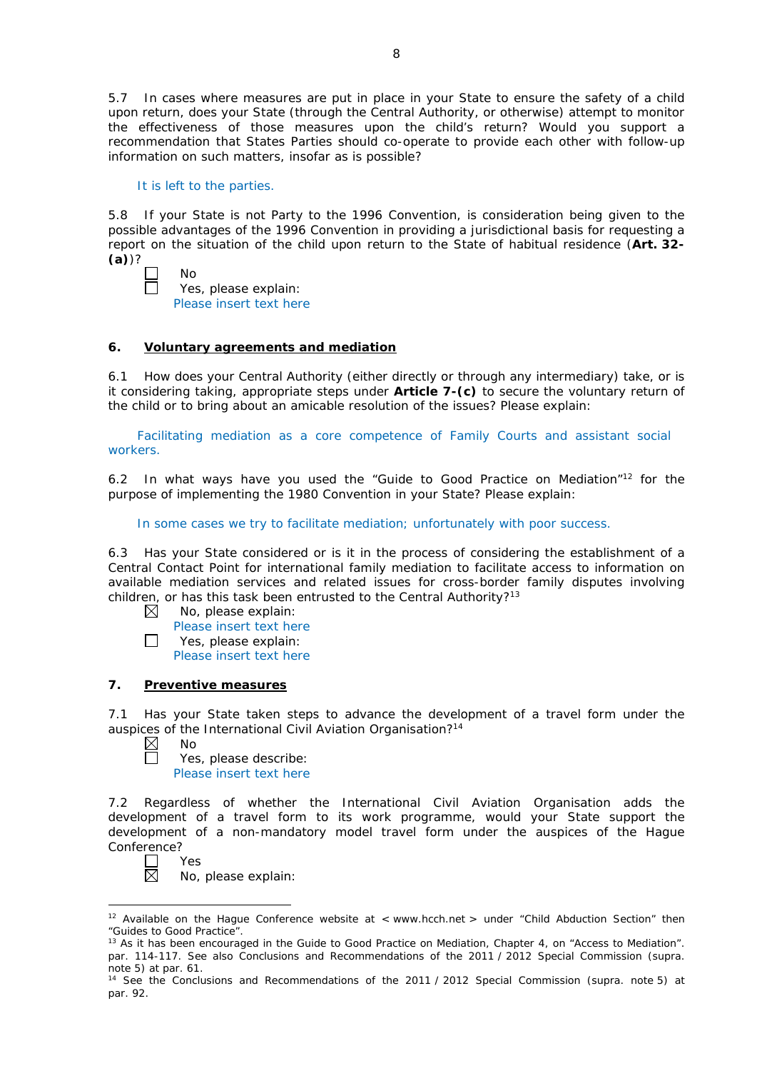5.7 In cases where measures are put in place in your State to ensure the safety of a child upon return, does your State (through the Central Authority, or otherwise) attempt to monitor the effectiveness of those measures upon the child's return? Would you support a recommendation that States Parties should co-operate to provide each other with follow-up information on such matters, insofar as is possible?

It is left to the parties.

5.8 If your State is not Party to the 1996 Convention, is consideration being given to the possible advantages of the 1996 Convention in providing a jurisdictional basis for requesting a report on the situation of the child upon return to the State of habitual residence (**Art. 32- (a)**)?

| $\perp$ | Nο                      |
|---------|-------------------------|
| $\Box$  | Yes, please explain:    |
|         | Please insert text here |

# **6. Voluntary agreements and mediation**

6.1 How does your Central Authority (either directly or through any intermediary) take, or is it considering taking, appropriate steps under **Article 7-(c)** to secure the voluntary return of the child or to bring about an amicable resolution of the issues? Please explain:

Facilitating mediation as a core competence of Family Courts and assistant social workers.

6.2 In what ways have you used the "Guide to Good Practice on Mediation"12 for the purpose of implementing the 1980 Convention in your State? Please explain:

In some cases we try to facilitate mediation; unfortunately with poor success.

6.3 Has your State considered or is it in the process of considering the establishment of a Central Contact Point for international family mediation to facilitate access to information on available mediation services and related issues for cross-border family disputes involving children, or has this task been entrusted to the Central Authority?<sup>13</sup>

- $\boxtimes$ No, please explain:
- Please insert text here  $\Box$ Yes, please explain:
	- Please insert text here

## **7. Preventive measures**

7.1 Has your State taken steps to advance the development of a travel form under the auspices of the International Civil Aviation Organisation?<sup>14</sup><br>  $\boxtimes$  No<br>  $\Box$  Yes, please describe:

No

Yes, please describe: Please insert text here

7.2 Regardless of whether the International Civil Aviation Organisation adds the development of a travel form to its work programme, would your State support the development of a non-mandatory model travel form under the auspices of the Hague Conference?

П Yes  $\boxtimes$ 

<u>.</u>

No, please explain:

<sup>&</sup>lt;sup>12</sup> Available on the Hague Conference website at < www.hcch.net > under "Child Abduction Section" then "Guides to Good Practice".

<sup>&</sup>lt;sup>13</sup> As it has been encouraged in the Guide to Good Practice on Mediation, Chapter 4, on "Access to Mediation". par. 114-117. See also [Conclusions and Recommendations of the 2011](https://assets.hcch.net/upload/wop/concl28sc6_e.pdf) / 2012 Special Commission (*supra.* note 5) at par. 61.

<sup>14</sup> See the [Conclusions and Recommendations of the 2011](https://assets.hcch.net/upload/wop/concl28sc6_e.pdf) / 2012 Special Commission (*supra.* note 5) at par. 92.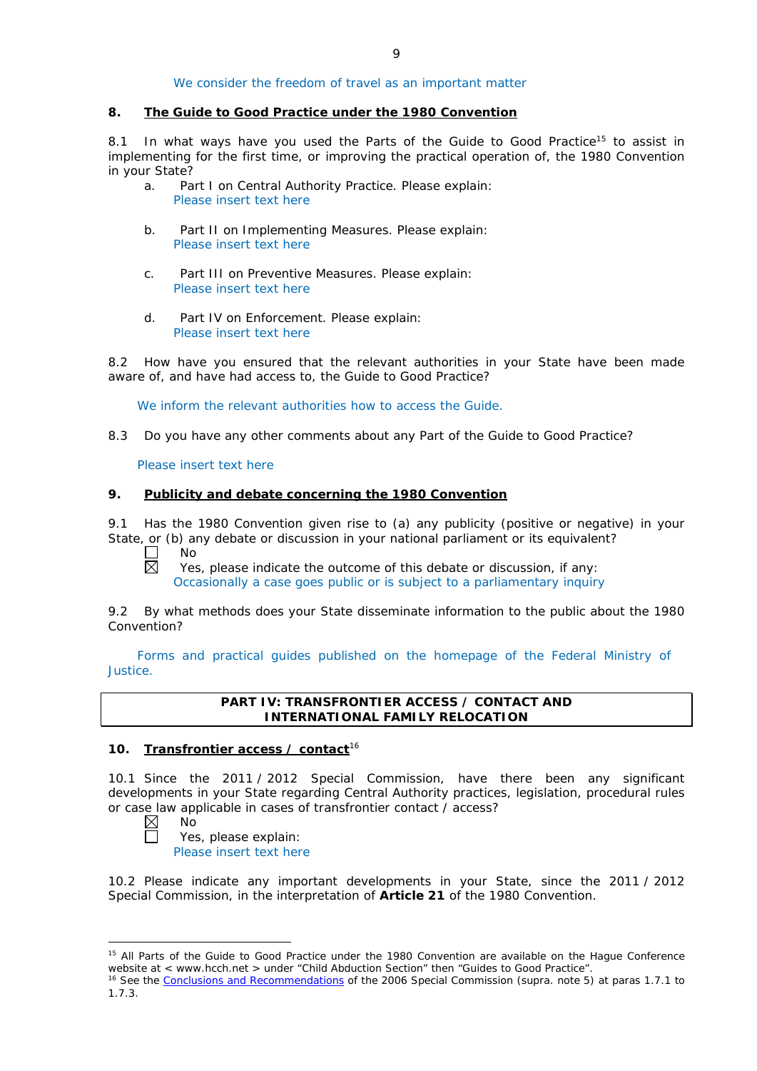# We consider the freedom of travel as an important matter

### **8. The Guide to Good Practice under the 1980 Convention**

8.1 In what ways have you used the Parts of the Guide to Good Practice<sup>15</sup> to assist in implementing for the first time, or improving the practical operation of, the 1980 Convention in your State?

- a. Part I on Central Authority Practice. Please explain: Please insert text here
- b. Part II on Implementing Measures. Please explain: Please insert text here
- c. Part III on Preventive Measures. Please explain: Please insert text here
- d. Part IV on Enforcement. Please explain: Please insert text here

8.2 How have you ensured that the relevant authorities in your State have been made aware of, and have had access to, the Guide to Good Practice?

We inform the relevant authorities how to access the Guide.

8.3 Do you have any other comments about any Part of the Guide to Good Practice?

Please insert text here

## **9. Publicity and debate concerning the 1980 Convention**

9.1 Has the 1980 Convention given rise to (a) any publicity (positive or negative) in your State, or (b) any debate or discussion in your national parliament or its equivalent? No

 $\Box$ 岗

Yes, please indicate the outcome of this debate or discussion, if any: Occasionally a case goes public or is subject to a parliamentary inquiry

9.2 By what methods does your State disseminate information to the public about the 1980 Convention?

Forms and practical guides published on the homepage of the Federal Ministry of Justice.

## **PART IV: TRANSFRONTIER ACCESS / CONTACT AND INTERNATIONAL FAMILY RELOCATION**

## **10. Transfrontier access / contact**<sup>16</sup>

10.1 Since the 2011 / 2012 Special Commission, have there been any significant developments in your State regarding Central Authority practices, legislation, procedural rules or case law applicable in cases of transfrontier contact / access?<br>  $\boxtimes$  No<br>
Yes. please explain:

No

-

Yes, please explain:

Please insert text here

10.2 Please indicate any important developments in your State, since the 2011 / 2012 Special Commission, in the interpretation of **Article 21** of the 1980 Convention.

<sup>&</sup>lt;sup>15</sup> All Parts of the Guide to Good Practice under the 1980 Convention are available on the Hague Conference website at < www.hcch.net > under "Child Abduction Section" then "Guides to Good Practice".

<sup>16</sup> See the [Conclusions and Recommendations](https://assets.hcch.net/upload/concl28sc5_e.pdf) of the 2006 Special Commission (*supra.* note 5) at paras 1.7.1 to 1.7.3.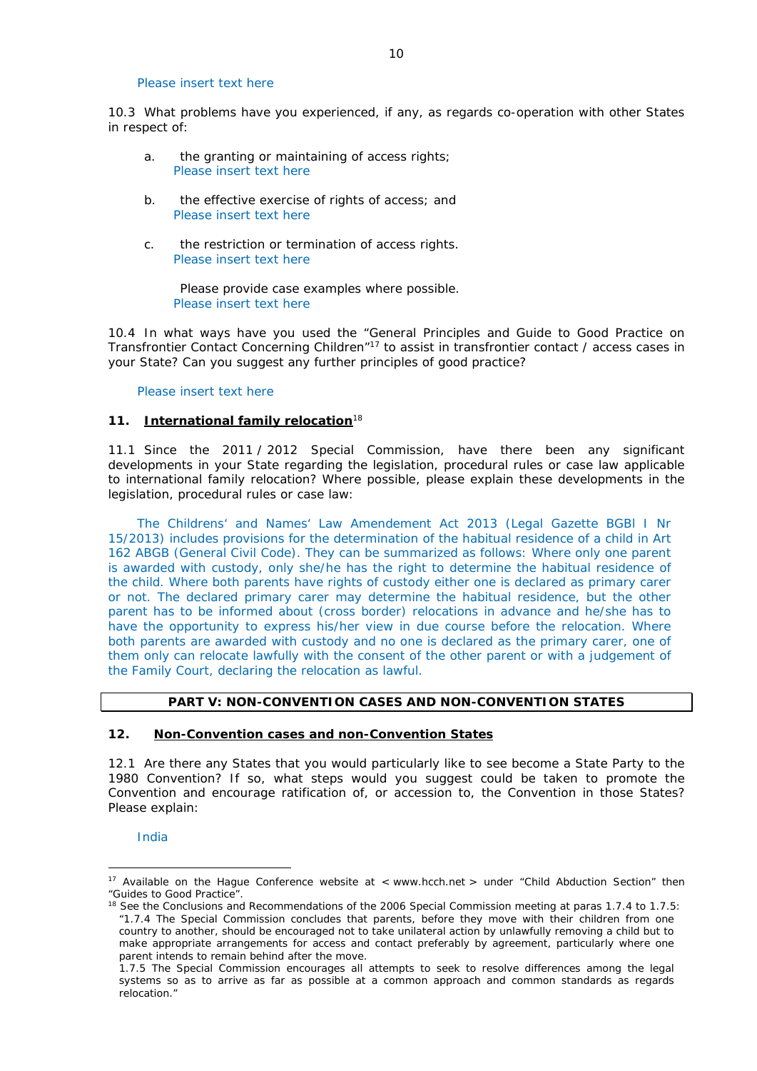### Please insert text here

10.3 What problems have you experienced, if any, as regards co-operation with other States in respect of:

- a. the granting or maintaining of access rights; Please insert text here
- b. the effective exercise of rights of access; and Please insert text here
- c. the restriction or termination of access rights. Please insert text here

Please provide case examples where possible. Please insert text here

10.4 In what ways have you used the "General Principles and Guide to Good Practice on Transfrontier Contact Concerning Children"17 to assist in transfrontier contact / access cases in your State? Can you suggest any further principles of good practice?

### Please insert text here

## **11. International family relocation**<sup>18</sup>

11.1 Since the 2011 / 2012 Special Commission, have there been any significant developments in your State regarding the legislation, procedural rules or case law applicable to international family relocation? Where possible, please explain these developments in the legislation, procedural rules or case law:

The Childrens' and Names' Law Amendement Act 2013 (Legal Gazette BGBl I Nr 15/2013) includes provisions for the determination of the habitual residence of a child in Art 162 ABGB (General Civil Code). They can be summarized as follows: Where only one parent is awarded with custody, only she/he has the right to determine the habitual residence of the child. Where both parents have rights of custody either one is declared as primary carer or not. The declared primary carer may determine the habitual residence, but the other parent has to be informed about (cross border) relocations in advance and he/she has to have the opportunity to express his/her view in due course before the relocation. Where both parents are awarded with custody and no one is declared as the primary carer, one of them only can relocate lawfully with the consent of the other parent or with a judgement of the Family Court, declaring the relocation as lawful.

## **PART V: NON-CONVENTION CASES AND NON-CONVENTION STATES**

#### **12. Non-Convention cases and non-Convention States**

12.1 Are there any States that you would particularly like to see become a State Party to the 1980 Convention? If so, what steps would you suggest could be taken to promote the Convention and encourage ratification of, or accession to, the Convention in those States? Please explain:

India

<u>.</u>

<sup>&</sup>lt;sup>17</sup> Available on the Hague Conference website at < www.hcch.net > under "Child Abduction Section" then "Guides to Good Practice".

<sup>&</sup>lt;sup>18</sup> See the Conclusions and Recommendations of the 2006 Special Commission meeting at paras 1.7.4 to 1.7.5: *"*1.7.4 The Special Commission concludes that parents, before they move with their children from one country to another, should be encouraged not to take unilateral action by unlawfully removing a child but to make appropriate arrangements for access and contact preferably by agreement, particularly where one parent intends to remain behind after the move.

<sup>1.7.5</sup> The Special Commission encourages all attempts to seek to resolve differences among the legal systems so as to arrive as far as possible at a common approach and common standards as regards relocation."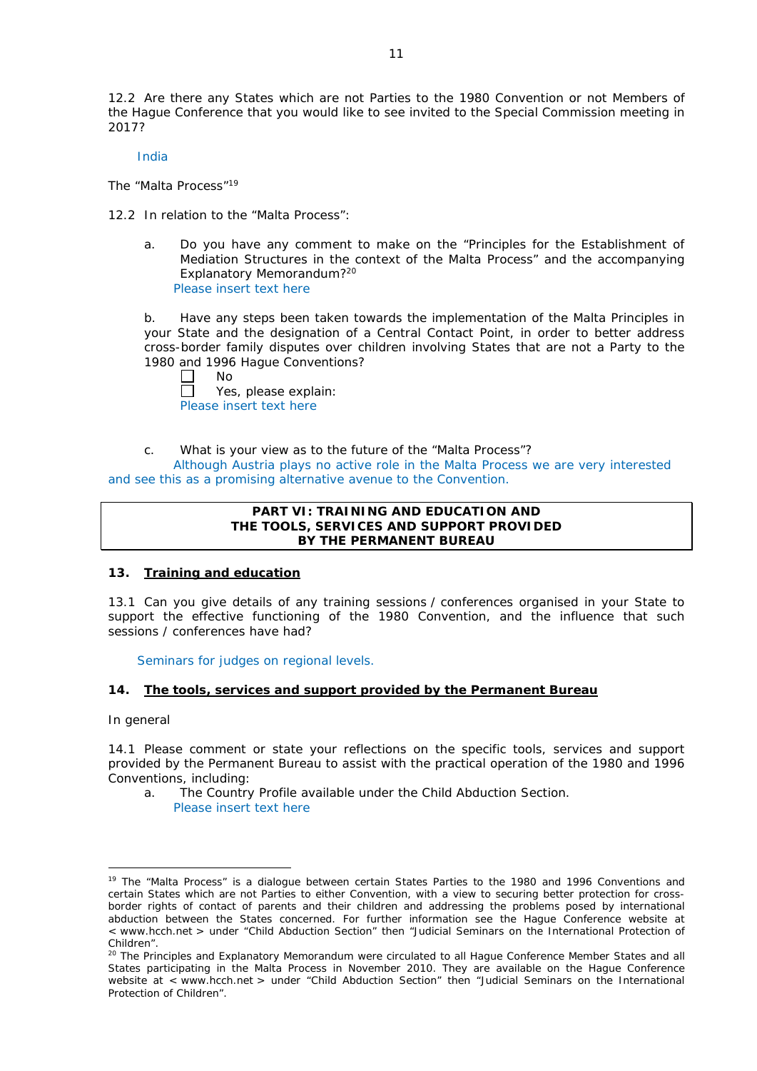12.2 Are there any States which are not Parties to the 1980 Convention or not Members of the Hague Conference that you would like to see invited to the Special Commission meeting in 2017?

India

*The "Malta Process"*<sup>19</sup>

12.2 In relation to the "Malta Process":

a. Do you have any comment to make on the "Principles for the Establishment of Mediation Structures in the context of the Malta Process" and the accompanying Explanatory Memorandum?20 Please insert text here

b. Have any steps been taken towards the implementation of the Malta Principles in your State and the designation of a Central Contact Point, in order to better address cross-border family disputes over children involving States that are not a Party to the 1980 and 1996 Hague Conventions?

No  $\Box$ Yes, please explain: Please insert text here

c. What is your view as to the future of the "Malta Process"?

Although Austria plays no active role in the Malta Process we are very interested and see this as a promising alternative avenue to the Convention.

## **PART VI: TRAINING AND EDUCATION AND THE TOOLS, SERVICES AND SUPPORT PROVIDED BY THE PERMANENT BUREAU**

## **13. Training and education**

13.1 Can you give details of any training sessions / conferences organised in your State to support the effective functioning of the 1980 Convention, and the influence that such sessions / conferences have had?

Seminars for judges on regional levels.

# **14. The tools, services and support provided by the Permanent Bureau**

*In general*

<u>.</u>

14.1 Please comment or state your reflections on the specific tools, services and support provided by the Permanent Bureau to assist with the practical operation of the 1980 and 1996 Conventions, including:

a. The Country Profile available under the Child Abduction Section. Please insert text here

<sup>&</sup>lt;sup>19</sup> The "Malta Process" is a dialogue between certain States Parties to the 1980 and 1996 Conventions and certain States which are not Parties to either Convention, with a view to securing better protection for crossborder rights of contact of parents and their children and addressing the problems posed by international abduction between the States concerned. For further information see the Hague Conference website at < www.hcch.net > under "Child Abduction Section" then "Judicial Seminars on the International Protection of Children".

<sup>20</sup> The Principles and Explanatory Memorandum were circulated to all Hague Conference Member States and all States participating in the Malta Process in November 2010. They are available on the Hague Conference website at < www.hcch.net > under "Child Abduction Section" then "Judicial Seminars on the International Protection of Children".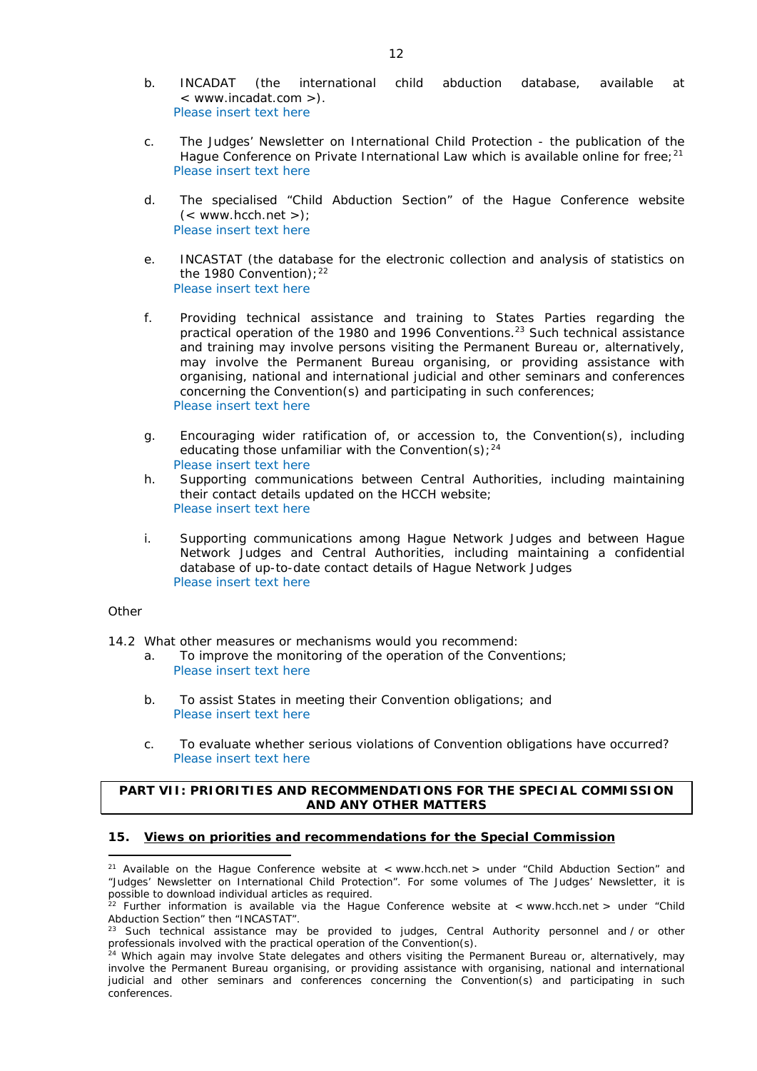- b. INCADAT (the international child abduction database, available at < www.incadat.com >). Please insert text here
- c. *The Judges' Newsletter* on International Child Protection the publication of the Hague Conference on Private International Law which is available online for free; $21$ Please insert text here
- d. The specialised "Child Abduction Section" of the Hague Conference website  $(<$  www.hcch.net >); Please insert text here
- e. INCASTAT (the database for the electronic collection and analysis of statistics on the 1980 Convention);  $22$ Please insert text here
- f. Providing technical assistance and training to States Parties regarding the practical operation of the 1980 and 1996 Conventions.23 Such technical assistance and training may involve persons visiting the Permanent Bureau or, alternatively, may involve the Permanent Bureau organising, or providing assistance with organising, national and international judicial and other seminars and conferences concerning the Convention(s) and participating in such conferences; Please insert text here
- g. Encouraging wider ratification of, or accession to, the Convention(s), including educating those unfamiliar with the Convention(s);  $24$ Please insert text here
- h. Supporting communications between Central Authorities, including maintaining their contact details updated on the HCCH website; Please insert text here
- i. Supporting communications among Hague Network Judges and between Hague Network Judges and Central Authorities, including maintaining a confidential database of up-to-date contact details of Hague Network Judges Please insert text here

## *Other*

- 14.2 What other measures or mechanisms would you recommend:
	- a. To improve the monitoring of the operation of the Conventions; Please insert text here
	- b. To assist States in meeting their Convention obligations; and Please insert text here
	- c. To evaluate whether serious violations of Convention obligations have occurred? Please insert text here

# **PART VII: PRIORITIES AND RECOMMENDATIONS FOR THE SPECIAL COMMISSION AND ANY OTHER MATTERS**

## **15. Views on priorities and recommendations for the Special Commission**

<sup>&</sup>lt;u>.</u> <sup>21</sup> Available on the Hague Conference website at < www.hcch.net > under "Child Abduction Section" and "Judges' Newsletter on International Child Protection". For some volumes of *The Judges' Newsletter*, it is possible to download individual articles as required.

<sup>&</sup>lt;sup>22</sup> Further information is available via the Hague Conference website at < www.hcch.net > under "Child Abduction Section" then "INCASTAT".

Such technical assistance may be provided to judges, Central Authority personnel and / or other professionals involved with the practical operation of the Convention(s).

<sup>&</sup>lt;sup>24</sup> Which again may involve State delegates and others visiting the Permanent Bureau or, alternatively, may involve the Permanent Bureau organising, or providing assistance with organising, national and international judicial and other seminars and conferences concerning the Convention(s) and participating in such conferences.